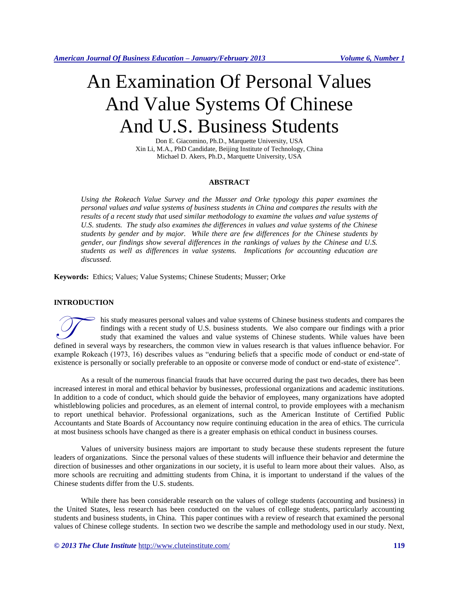# An Examination Of Personal Values And Value Systems Of Chinese And U.S. Business Students

Don E. Giacomino, Ph.D., Marquette University, USA Xin Li, M.A., PhD Candidate, Beijing Institute of Technology, China Michael D. Akers, Ph.D., Marquette University, USA

#### **ABSTRACT**

*Using the Rokeach Value Survey and the Musser and Orke typology this paper examines the personal values and value systems of business students in China and compares the results with the results of a recent study that used similar methodology to examine the values and value systems of U.S. students. The study also examines the differences in values and value systems of the Chinese students by gender and by major. While there are few differences for the Chinese students by gender, our findings show several differences in the rankings of values by the Chinese and U.S. students as well as differences in value systems. Implications for accounting education are discussed.*

**Keywords:** Ethics; Values; Value Systems; Chinese Students; Musser; Orke

#### **INTRODUCTION**

his study measures personal values and value systems of Chinese business students and compares the findings with a recent study of U.S. business students. We also compare our findings with a prior study that examined the values and value systems of Chinese students. While values have been defined in several ways by researchers, the common view in values research is that values influence behavior. For study that examined the values and value systems of Chinese students. While values have been defined in seve example Rokeach (1973, 16) describes values as "enduring beliefs that a specific mode of conduct or end-state of existence is personally or socially preferable to an opposite or converse mode of conduct or end-state of existence".

As a result of the numerous financial frauds that have occurred during the past two decades, there has been increased interest in moral and ethical behavior by businesses, professional organizations and academic institutions. In addition to a code of conduct, which should guide the behavior of employees, many organizations have adopted whistleblowing policies and procedures, as an element of internal control, to provide employees with a mechanism to report unethical behavior. Professional organizations, such as the American Institute of Certified Public Accountants and State Boards of Accountancy now require continuing education in the area of ethics. The curricula at most business schools have changed as there is a greater emphasis on ethical conduct in business courses.

Values of university business majors are important to study because these students represent the future leaders of organizations. Since the personal values of these students will influence their behavior and determine the direction of businesses and other organizations in our society, it is useful to learn more about their values. Also, as more schools are recruiting and admitting students from China, it is important to understand if the values of the Chinese students differ from the U.S. students.

While there has been considerable research on the values of college students (accounting and business) in the United States, less research has been conducted on the values of college students, particularly accounting students and business students, in China. This paper continues with a review of research that examined the personal values of Chinese college students. In section two we describe the sample and methodology used in our study. Next,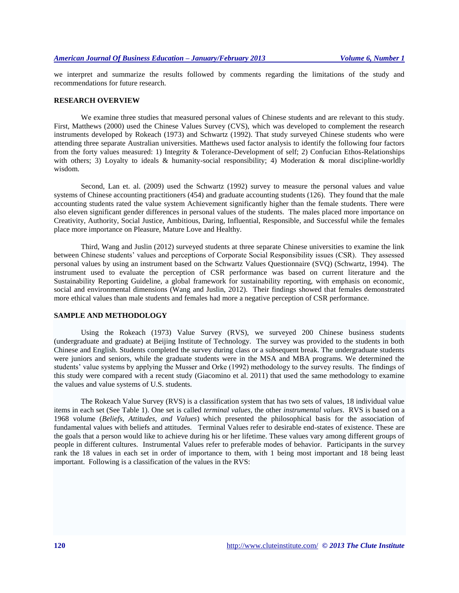we interpret and summarize the results followed by comments regarding the limitations of the study and recommendations for future research.

#### **RESEARCH OVERVIEW**

We examine three studies that measured personal values of Chinese students and are relevant to this study. First, Matthews (2000) used the Chinese Values Survey (CVS), which was developed to complement the research instruments developed by Rokeach (1973) and Schwartz (1992). That study surveyed Chinese students who were attending three separate Australian universities. Matthews used factor analysis to identify the following four factors from the forty values measured: 1) Integrity & Tolerance-Development of self; 2) Confucian Ethos-Relationships with others; 3) Loyalty to ideals & humanity-social responsibility; 4) Moderation & moral discipline-worldly wisdom.

Second, Lan et. al. (2009) used the Schwartz (1992) survey to measure the personal values and value systems of Chinese accounting practitioners (454) and graduate accounting students (126). They found that the male accounting students rated the value system Achievement significantly higher than the female students. There were also eleven significant gender differences in personal values of the students. The males placed more importance on Creativity, Authority, Social Justice, Ambitious, Daring, Influential, Responsible, and Successful while the females place more importance on Pleasure, Mature Love and Healthy.

Third, Wang and Juslin (2012) surveyed students at three separate Chinese universities to examine the link between Chinese students' values and perceptions of Corporate Social Responsibility issues (CSR). They assessed personal values by using an instrument based on the Schwartz Values Questionnaire (SVQ) (Schwartz, 1994). The instrument used to evaluate the perception of CSR performance was based on current literature and the Sustainability Reporting Guideline, a global framework for sustainability reporting, with emphasis on economic, social and environmental dimensions (Wang and Juslin, 2012). Their findings showed that females demonstrated more ethical values than male students and females had more a negative perception of CSR performance.

## **SAMPLE AND METHODOLOGY**

Using the Rokeach (1973) Value Survey (RVS), we surveyed 200 Chinese business students (undergraduate and graduate) at Beijing Institute of Technology. The survey was provided to the students in both Chinese and English. Students completed the survey during class or a subsequent break. The undergraduate students were juniors and seniors, while the graduate students were in the MSA and MBA programs. We determined the students' value systems by applying the Musser and Orke (1992) methodology to the survey results. The findings of this study were compared with a recent study (Giacomino et al. 2011) that used the same methodology to examine the values and value systems of U.S. students.

The Rokeach Value Survey (RVS) is a classification system that has two sets of values, 18 individual value items in each set (See Table 1). One set is called *terminal values,* the other *instrumental values*. RVS is based on a 1968 volume (*Beliefs, Attitudes, and Values*) which presented the philosophical basis for the association of fundamental values with beliefs and attitudes. Terminal Values refer to desirable end-states of existence. These are the goals that a person would like to achieve during his or her lifetime. These values vary among different groups of people in different cultures. Instrumental Values refer to preferable modes of behavior. Participants in the survey rank the 18 values in each set in order of importance to them, with 1 being most important and 18 being least important. Following is a classification of the values in the RVS: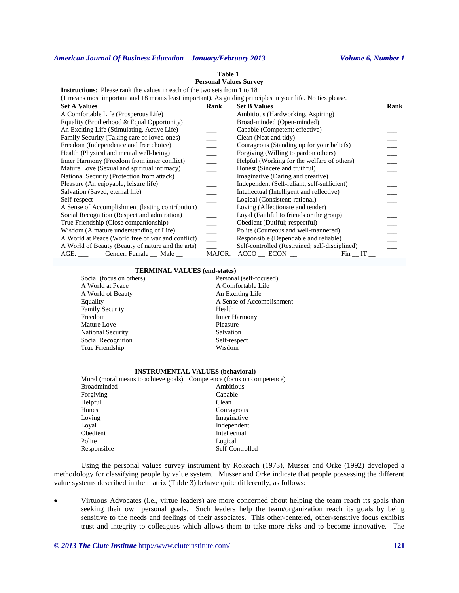## *American Journal Of Business Education – January/February 2013 Volume 6, Number 1*

| 1 avit 1<br><b>Personal Values Survey</b>                                                                  |        |                                                |      |
|------------------------------------------------------------------------------------------------------------|--------|------------------------------------------------|------|
| <b>Instructions:</b> Please rank the values in each of the two sets from 1 to 18                           |        |                                                |      |
| (1 means most important and 18 means least important). As guiding principles in your life. No ties please. |        |                                                |      |
| <b>Set A Values</b>                                                                                        | Rank   | <b>Set B Values</b>                            | Rank |
| A Comfortable Life (Prosperous Life)                                                                       |        | Ambitious (Hardworking, Aspiring)              |      |
| Equality (Brotherhood & Equal Opportunity)                                                                 |        | Broad-minded (Open-minded)                     |      |
| An Exciting Life (Stimulating, Active Life)                                                                |        | Capable (Competent; effective)                 |      |
| Family Security (Taking care of loved ones)                                                                |        | Clean (Neat and tidy)                          |      |
| Freedom (Independence and free choice)                                                                     |        | Courageous (Standing up for your beliefs)      |      |
| Health (Physical and mental well-being)                                                                    |        | Forgiving (Willing to pardon others)           |      |
| Inner Harmony (Freedom from inner conflict)                                                                |        | Helpful (Working for the welfare of others)    |      |
| Mature Love (Sexual and spiritual intimacy)                                                                |        | Honest (Sincere and truthful)                  |      |
| National Security (Protection from attack)                                                                 |        | Imaginative (Daring and creative)              |      |
| Pleasure (An enjoyable, leisure life)                                                                      |        | Independent (Self-reliant; self-sufficient)    |      |
| Salvation (Saved; eternal life)                                                                            |        | Intellectual (Intelligent and reflective)      |      |
| Self-respect                                                                                               |        | Logical (Consistent; rational)                 |      |
| A Sense of Accomplishment (lasting contribution)                                                           |        | Loving (Affectionate and tender)               |      |
| Social Recognition (Respect and admiration)                                                                |        | Loyal (Faithful to friends or the group)       |      |
| True Friendship (Close companionship)                                                                      |        | Obedient (Dutiful; respectful)                 |      |
| Wisdom (A mature understanding of Life)                                                                    |        | Polite (Courteous and well-mannered)           |      |
| A World at Peace (World free of war and conflict)                                                          |        | Responsible (Dependable and reliable)          |      |
| A World of Beauty (Beauty of nature and the arts)                                                          |        | Self-controlled (Restrained; self-disciplined) |      |
| AGE: ___ Gender: Female __ Male __                                                                         | MAJOR: | $ACCO$ $ECON$ $\_\$<br>Fin IT                  |      |

**Table 1**

#### **TERMINAL VALUES (end-states)**

| Social (focus on others) | Personal (self-focused)   |
|--------------------------|---------------------------|
| A World at Peace         | A Comfortable Life        |
| A World of Beauty        | An Exciting Life          |
| Equality                 | A Sense of Accomplishment |
| <b>Family Security</b>   | Health                    |
| Freedom                  | <b>Inner Harmony</b>      |
| Mature Love              | Pleasure                  |
| <b>National Security</b> | Salvation                 |
| Social Recognition       | Self-respect              |
| True Friendship          | Wisdom                    |
|                          |                           |

#### **INSTRUMENTAL VALUES (behavioral)**

| Moral (moral means to achieve goals) Competence (focus on competence) |                 |
|-----------------------------------------------------------------------|-----------------|
| <b>Broadminded</b>                                                    | Ambitious       |
| Forgiving                                                             | Capable         |
| Helpful                                                               | Clean           |
| Honest                                                                | Courageous      |
| Loving                                                                | Imaginative     |
| Loyal                                                                 | Independent     |
| Obedient                                                              | Intellectual    |
| Polite                                                                | Logical         |
| Responsible                                                           | Self-Controlled |

Using the personal values survey instrument by Rokeach (1973), Musser and Orke (1992) developed a methodology for classifying people by value system. Musser and Orke indicate that people possessing the different value systems described in the matrix (Table 3) behave quite differently, as follows:

 Virtuous Advocates (i.e., virtue leaders) are more concerned about helping the team reach its goals than seeking their own personal goals. Such leaders help the team/organization reach its goals by being sensitive to the needs and feelings of their associates. This other-centered, other-sensitive focus exhibits trust and integrity to colleagues which allows them to take more risks and to become innovative. The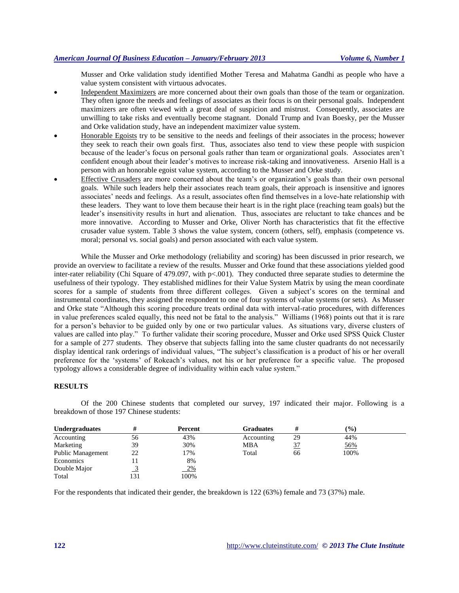## *American Journal Of Business Education – January/February 2013 Volume 6, Number 1*

Musser and Orke validation study identified Mother Teresa and Mahatma Gandhi as people who have a value system consistent with virtuous advocates.

- Independent Maximizers are more concerned about their own goals than those of the team or organization. They often ignore the needs and feelings of associates as their focus is on their personal goals. Independent maximizers are often viewed with a great deal of suspicion and mistrust. Consequently, associates are unwilling to take risks and eventually become stagnant. Donald Trump and Ivan Boesky, per the Musser and Orke validation study, have an independent maximizer value system.
- Honorable Egoists try to be sensitive to the needs and feelings of their associates in the process; however they seek to reach their own goals first. Thus, associates also tend to view these people with suspicion because of the leader's focus on personal goals rather than team or organizational goals. Associates aren't confident enough about their leader's motives to increase risk-taking and innovativeness. Arsenio Hall is a person with an honorable egoist value system, according to the Musser and Orke study.
- Effective Crusaders are more concerned about the team's or organization's goals than their own personal goals. While such leaders help their associates reach team goals, their approach is insensitive and ignores associates' needs and feelings. As a result, associates often find themselves in a love-hate relationship with these leaders. They want to love them because their heart is in the right place (reaching team goals) but the leader's insensitivity results in hurt and alienation. Thus, associates are reluctant to take chances and be more innovative. According to Musser and Orke, Oliver North has characteristics that fit the effective crusader value system. Table 3 shows the value system, concern (others, self), emphasis (competence vs. moral; personal vs. social goals) and person associated with each value system.

While the Musser and Orke methodology (reliability and scoring) has been discussed in prior research, we provide an overview to facilitate a review of the results. Musser and Orke found that these associations yielded good inter-rater reliability (Chi Square of 479.097, with p<.001). They conducted three separate studies to determine the usefulness of their typology. They established midlines for their Value System Matrix by using the mean coordinate scores for a sample of students from three different colleges. Given a subject's scores on the terminal and instrumental coordinates, they assigned the respondent to one of four systems of value systems (or sets). As Musser and Orke state "Although this scoring procedure treats ordinal data with interval-ratio procedures, with differences in value preferences scaled equally, this need not be fatal to the analysis." Williams (1968) points out that it is rare for a person's behavior to be guided only by one or two particular values. As situations vary, diverse clusters of values are called into play." To further validate their scoring procedure, Musser and Orke used SPSS Quick Cluster for a sample of 277 students. They observe that subjects falling into the same cluster quadrants do not necessarily display identical rank orderings of individual values, "The subject's classification is a product of his or her overall preference for the 'systems' of Rokeach's values, not his or her preference for a specific value. The proposed typology allows a considerable degree of individuality within each value system."

#### **RESULTS**

Of the 200 Chinese students that completed our survey, 197 indicated their major. Following is a breakdown of those 197 Chinese students:

| <b>Undergraduates</b>    |    | Percent   | Graduates  | #         | $($ %) |  |
|--------------------------|----|-----------|------------|-----------|--------|--|
| Accounting               | 56 | 43%       | Accounting | 29        | 44%    |  |
| Marketing                | 39 | 30%       | MBA        | <u>37</u> | 56%    |  |
| <b>Public Management</b> | 22 | 17%       | Total      | 66        | 100%   |  |
| Economics                |    | 8%        |            |           |        |  |
| Double Major             |    | <u>2%</u> |            |           |        |  |
| Total                    | 31 | 100%      |            |           |        |  |

For the respondents that indicated their gender, the breakdown is 122 (63%) female and 73 (37%) male.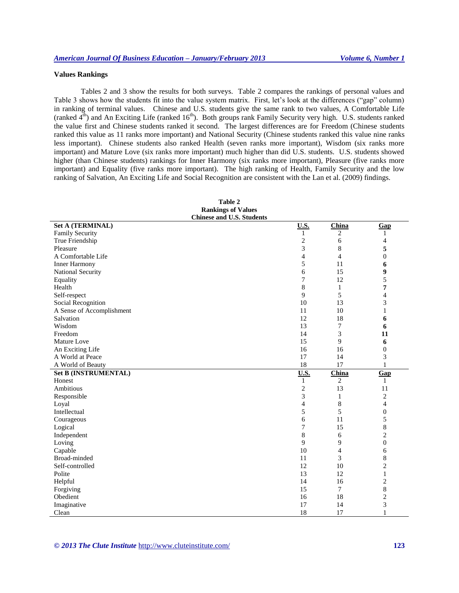## **Values Rankings**

Tables 2 and 3 show the results for both surveys. Table 2 compares the rankings of personal values and Table 3 shows how the students fit into the value system matrix. First, let's look at the differences ("gap" column) in ranking of terminal values. Chinese and U.S. students give the same rank to two values, A Comfortable Life (ranked  $4<sup>th</sup>$ ) and An Exciting Life (ranked 16<sup>th</sup>). Both groups rank Family Security very high. U.S. students ranked the value first and Chinese students ranked it second. The largest differences are for Freedom (Chinese students ranked this value as 11 ranks more important) and National Security (Chinese students ranked this value nine ranks less important). Chinese students also ranked Health (seven ranks more important), Wisdom (six ranks more important) and Mature Love (six ranks more important) much higher than did U.S. students. U.S. students showed higher (than Chinese students) rankings for Inner Harmony (six ranks more important), Pleasure (five ranks more important) and Equality (five ranks more important). The high ranking of Health, Family Security and the low ranking of Salvation, An Exciting Life and Social Recognition are consistent with the Lan et al. (2009) findings.

| <b>Rankings of Values</b>        |                |                |                         |
|----------------------------------|----------------|----------------|-------------------------|
| <b>Chinese and U.S. Students</b> |                |                |                         |
| <b>Set A (TERMINAL)</b>          | <b>U.S.</b>    | China          | Gap                     |
| Family Security                  | 1              | $\overline{c}$ | 1                       |
| True Friendship                  | 2              | 6              | 4                       |
| Pleasure                         | 3              | $\,8\,$        | 5                       |
| A Comfortable Life               | $\overline{4}$ | $\overline{4}$ | $\boldsymbol{0}$        |
| <b>Inner Harmony</b>             | 5              | 11             | 6                       |
| National Security                | 6              | 15             | 9                       |
| Equality                         | 7              | 12             | 5                       |
| Health                           | 8              | $\mathbf{1}$   | $\overline{7}$          |
| Self-respect                     | 9              | 5              | $\overline{4}$          |
| Social Recognition               | 10             | 13             | 3                       |
| A Sense of Accomplishment        | 11             | 10             | $\mathbf{1}$            |
| Salvation                        | 12             | 18             | 6                       |
| Wisdom                           | 13             | $\overline{7}$ | 6                       |
| Freedom                          | 14             | 3              | 11                      |
| Mature Love                      | 15             | 9              | 6                       |
| An Exciting Life                 | 16             | 16             | $\overline{0}$          |
| A World at Peace                 | 17             | 14             | 3                       |
| A World of Beauty                | 18             | 17             | $\mathbf{1}$            |
| <b>Set B (INSTRUMENTAL)</b>      | <u>U.S.</u>    | China          | Gap                     |
| Honest                           | $\mathbf{1}$   | 2              | $\mathbf{1}$            |
| Ambitious                        | $\overline{c}$ | 13             | 11                      |
| Responsible                      | 3              | $\mathbf{1}$   | $\mathbf{2}$            |
| Loyal                            | 4              | 8              | 4                       |
| Intellectual                     | 5              | 5              | $\boldsymbol{0}$        |
| Courageous                       | 6              | 11             | 5                       |
| Logical                          | 7              | 15             | 8                       |
| Independent                      | 8              | 6              | $\overline{c}$          |
| Loving                           | 9              | 9              | $\boldsymbol{0}$        |
| Capable                          | 10             | $\overline{4}$ | 6                       |
| Broad-minded                     | 11             | 3              | 8                       |
| Self-controlled                  | 12             | 10             | $\overline{c}$          |
| Polite                           | 13             | 12             | $\mathbf{1}$            |
| Helpful                          | 14             | 16             | $\overline{c}$          |
| Forgiving                        | 15             | $\tau$         | 8                       |
| Obedient                         | 16             | 18             | $\overline{c}$          |
| Imaginative                      | 17             | 14             | $\overline{\mathbf{3}}$ |
| Clean                            | 18             | 17             | $\mathbf{1}$            |

**Table 2 Rankings of Values**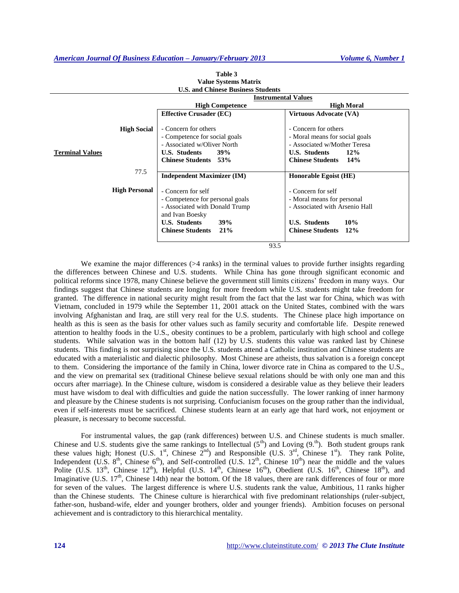|                                              | <b>Instrumental Values</b>                                                                                                 |                                                                                                                       |  |  |
|----------------------------------------------|----------------------------------------------------------------------------------------------------------------------------|-----------------------------------------------------------------------------------------------------------------------|--|--|
|                                              | <b>High Competence</b><br><b>High Moral</b>                                                                                |                                                                                                                       |  |  |
|                                              | <b>Effective Crusader (EC)</b>                                                                                             | <b>Virtuous Advocate (VA)</b>                                                                                         |  |  |
| <b>High Social</b><br><b>Terminal Values</b> | - Concern for others<br>- Competence for social goals<br>- Associated w/Oliver North<br><b>U.S. Students</b><br><b>39%</b> | - Concern for others<br>- Moral means for social goals<br>- Associated w/Mother Teresa<br><b>U.S. Students</b><br>12% |  |  |
|                                              | <b>Chinese Students</b> 53%                                                                                                | <b>Chinese Students</b><br>$14\%$                                                                                     |  |  |
|                                              |                                                                                                                            |                                                                                                                       |  |  |
| 77.5                                         | <b>Independent Maximizer (IM)</b>                                                                                          | Honorable Egoist (HE)                                                                                                 |  |  |
| <b>High Personal</b>                         | - Concern for self                                                                                                         | - Concern for self                                                                                                    |  |  |
|                                              | - Competence for personal goals                                                                                            | - Moral means for personal                                                                                            |  |  |
|                                              | - Associated with Donald Trump<br>and Ivan Boesky                                                                          | - Associated with Arsenio Hall                                                                                        |  |  |
|                                              | <b>U.S. Students</b><br>39%                                                                                                | <b>U.S. Students</b><br>10%                                                                                           |  |  |
|                                              | 21%<br><b>Chinese Students</b>                                                                                             | <b>Chinese Students</b><br>12%                                                                                        |  |  |
|                                              |                                                                                                                            |                                                                                                                       |  |  |
|                                              | 93.5                                                                                                                       |                                                                                                                       |  |  |

| Table 3                                   |
|-------------------------------------------|
| <b>Value Systems Matrix</b>               |
| <b>U.S. and Chinese Business Students</b> |

We examine the major differences  $($  > 4 ranks) in the terminal values to provide further insights regarding the differences between Chinese and U.S. students. While China has gone through significant economic and political reforms since 1978, many Chinese believe the government still limits citizens' freedom in many ways. Our findings suggest that Chinese students are longing for more freedom while U.S. students might take freedom for granted. The difference in national security might result from the fact that the last war for China, which was with Vietnam, concluded in 1979 while the September 11, 2001 attack on the United States, combined with the wars involving Afghanistan and Iraq, are still very real for the U.S. students. The Chinese place high importance on health as this is seen as the basis for other values such as family security and comfortable life. Despite renewed attention to healthy foods in the U.S., obesity continues to be a problem, particularly with high school and college students. While salvation was in the bottom half (12) by U.S. students this value was ranked last by Chinese students. This finding is not surprising since the U.S. students attend a Catholic institution and Chinese students are educated with a materialistic and dialectic philosophy. Most Chinese are atheists, thus salvation is a foreign concept to them. Considering the importance of the family in China, lower divorce rate in China as compared to the U.S., and the view on premarital sex (traditional Chinese believe sexual relations should be with only one man and this occurs after marriage). In the Chinese culture, wisdom is considered a desirable value as they believe their leaders must have wisdom to deal with difficulties and guide the nation successfully. The lower ranking of inner harmony and pleasure by the Chinese students is not surprising. Confucianism focuses on the group rather than the individual, even if self-interests must be sacrificed. Chinese students learn at an early age that hard work, not enjoyment or pleasure, is necessary to become successful.

For instrumental values, the gap (rank differences) between U.S. and Chinese students is much smaller. Chinese and U.S. students give the same rankings to Intellectual  $(5<sup>th</sup>)$  and Loving  $(9<sup>th</sup>)$ . Both student groups rank these values high; Honest (U.S. 1st, Chinese  $2^{nd}$ ) and Responsible (U.S. 3<sup>rd</sup>, Chinese 1st). They rank Polite, Independent  $(U.S. 8<sup>th</sup>)$ , Chinese  $6<sup>th</sup>$ ), and Self-controlled  $(U.S. 12<sup>th</sup>)$ , Chinese 10<sup>th</sup>) near the middle and the values Polite (U.S.  $13^{th}$ , Chinese  $12^{th}$ ), Helpful (U.S.  $14^{th}$ , Chinese  $16^{th}$ ), Obedient (U.S.  $16^{th}$ , Chinese  $18^{th}$ ), and Imaginative (U.S. 17<sup>th</sup>, Chinese 14th) near the bottom. Of the 18 values, there are rank differences of four or more for seven of the values. The largest difference is where U.S. students rank the value, Ambitious, 11 ranks higher than the Chinese students. The Chinese culture is hierarchical with five predominant relationships (ruler-subject, father-son, husband-wife, elder and younger brothers, older and younger friends). Ambition focuses on personal achievement and is contradictory to this hierarchical mentality.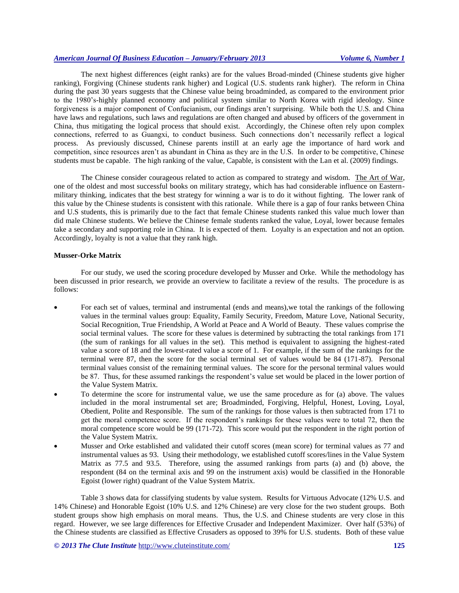The next highest differences (eight ranks) are for the values Broad-minded (Chinese students give higher ranking), Forgiving (Chinese students rank higher) and Logical (U.S. students rank higher). The reform in China during the past 30 years suggests that the Chinese value being broadminded, as compared to the environment prior to the 1980's-highly planned economy and political system similar to North Korea with rigid ideology. Since forgiveness is a major component of Confucianism, our findings aren't surprising. While both the U.S. and China have laws and regulations, such laws and regulations are often changed and abused by officers of the government in China, thus mitigating the logical process that should exist. Accordingly, the Chinese often rely upon complex connections, referred to as Guangxi, to conduct business. Such connections don't necessarily reflect a logical process. As previously discussed, Chinese parents instill at an early age the importance of hard work and competition, since resources aren't as abundant in China as they are in the U.S. In order to be competitive, Chinese students must be capable. The high ranking of the value, Capable, is consistent with the Lan et al. (2009) findings.

The Chinese consider courageous related to action as compared to strategy and wisdom. The Art of War, one of the oldest and most successful books on military strategy, which has had considerable influence on Easternmilitary thinking, indicates that the best strategy for winning a war is to do it without fighting. The lower rank of this value by the Chinese students is consistent with this rationale. While there is a gap of four ranks between China and U.S students, this is primarily due to the fact that female Chinese students ranked this value much lower than did male Chinese students. We believe the Chinese female students ranked the value, Loyal, lower because females take a secondary and supporting role in China. It is expected of them. Loyalty is an expectation and not an option. Accordingly, loyalty is not a value that they rank high.

## **Musser-Orke Matrix**

For our study, we used the scoring procedure developed by Musser and Orke. While the methodology has been discussed in prior research, we provide an overview to facilitate a review of the results. The procedure is as follows:

- For each set of values, terminal and instrumental (ends and means),we total the rankings of the following values in the terminal values group: Equality, Family Security, Freedom, Mature Love, National Security, Social Recognition, True Friendship, A World at Peace and A World of Beauty. These values comprise the social terminal values. The score for these values is determined by subtracting the total rankings from 171 (the sum of rankings for all values in the set). This method is equivalent to assigning the highest-rated value a score of 18 and the lowest-rated value a score of 1. For example, if the sum of the rankings for the terminal were 87, then the score for the social terminal set of values would be 84 (171-87). Personal terminal values consist of the remaining terminal values. The score for the personal terminal values would be 87. Thus, for these assumed rankings the respondent's value set would be placed in the lower portion of the Value System Matrix.
- To determine the score for instrumental value, we use the same procedure as for (a) above. The values included in the moral instrumental set are; Broadminded, Forgiving, Helpful, Honest, Loving, Loyal, Obedient, Polite and Responsible. The sum of the rankings for those values is then subtracted from 171 to get the moral competence score. If the respondent's rankings for these values were to total 72, then the moral competence score would be 99 (171-72). This score would put the respondent in the right portion of the Value System Matrix.
- Musser and Orke established and validated their cutoff scores (mean score) for terminal values as 77 and instrumental values as 93. Using their methodology, we established cutoff scores/lines in the Value System Matrix as 77.5 and 93.5. Therefore, using the assumed rankings from parts (a) and (b) above, the respondent (84 on the terminal axis and 99 on the instrument axis) would be classified in the Honorable Egoist (lower right) quadrant of the Value System Matrix.

Table 3 shows data for classifying students by value system. Results for Virtuous Advocate (12% U.S. and 14% Chinese) and Honorable Egoist (10% U.S. and 12% Chinese) are very close for the two student groups. Both student groups show high emphasis on moral means. Thus, the U.S. and Chinese students are very close in this regard. However, we see large differences for Effective Crusader and Independent Maximizer. Over half (53%) of the Chinese students are classified as Effective Crusaders as opposed to 39% for U.S. students. Both of these value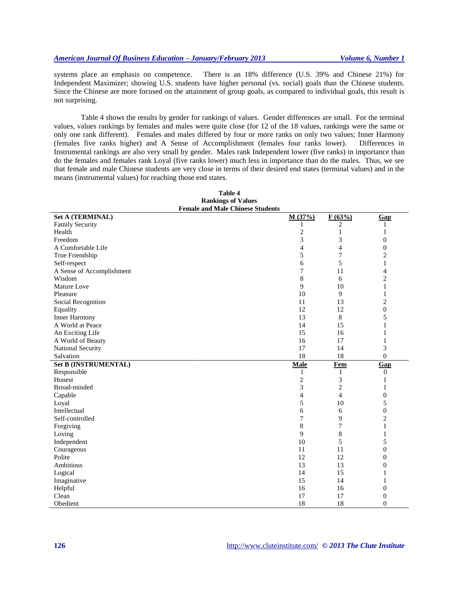systems place an emphasis on competence. There is an 18% difference (U.S. 39% and Chinese 21%) for Independent Maximizer; showing U.S. students have higher personal (vs. social) goals than the Chinese students. Since the Chinese are more focused on the attainment of group goals, as compared to individual goals, this result is not surprising.

Table 4 shows the results by gender for rankings of values. Gender differences are small. For the terminal values, values rankings by females and males were quite close (for 12 of the 18 values, rankings were the same or only one rank different). Females and males differed by four or more ranks on only two values; Inner Harmony (females five ranks higher) and A Sense of Accomplishment (females four ranks lower). Differences in Instrumental rankings are also very small by gender. Males rank Independent lower (five ranks) in importance than do the females and females rank Loyal (five ranks lower) much less in importance than do the males. Thus, we see that female and male Chinese students are very close in terms of their desired end states (terminal values) and in the means (instrumental values) for reaching those end states.

| л арис п<br><b>Rankings of Values</b>   |                |                |                  |
|-----------------------------------------|----------------|----------------|------------------|
| <b>Female and Male Chinese Students</b> |                |                |                  |
| <b>Set A (TERMINAL)</b>                 | M(37%)         | F(63%)         | Gap              |
| Family Security                         | 1              | 2              | 1                |
| Health                                  | $\overline{c}$ | 1              | 1                |
| Freedom                                 | 3              | 3              | 0                |
| A Comfortable Life                      | 4              | 4              | 0                |
| True Friendship                         | 5              | 7              | $\overline{c}$   |
| Self-respect                            | 6              | 5              | $\mathbf{1}$     |
| A Sense of Accomplishment               | 7              | 11             | $\overline{4}$   |
| Wisdom                                  | $\,$ $\,$      | 6              | $\overline{c}$   |
| Mature Love                             | 9              | 10             | $\,1$            |
| Pleasure                                | 10             | $\overline{9}$ | $\mathbf{1}$     |
| Social Recognition                      | 11             | 13             | $\overline{c}$   |
| Equality                                | 12             | 12             | 0                |
| <b>Inner Harmony</b>                    | 13             | 8              | 5                |
| A World at Peace                        | 14             | 15             | $\mathbf{1}$     |
| An Exciting Life                        | 15             | 16             | 1                |
| A World of Beauty                       | 16             | 17             | $\mathbf{1}$     |
| National Security                       | 17             | 14             | 3                |
| Salvation                               | 18             | 18             | $\overline{0}$   |
| <b>Set B (INSTRUMENTAL)</b>             | <b>Male</b>    | <b>Fem</b>     | Gap              |
| Responsible                             | 1              | 1              | $\theta$         |
| Honest                                  | $\mathbf{2}$   | 3              | 1                |
| Broad-minded                            | 3              | $\overline{c}$ | $\mathbf{1}$     |
| Capable                                 | 4              | $\overline{4}$ | $\boldsymbol{0}$ |
| Loyal                                   | 5              | 10             | 5                |
| Intellectual                            | 6              | 6              | $\boldsymbol{0}$ |
| Self-controlled                         | 7              | 9              | $\overline{c}$   |
| Forgiving                               | 8              | 7              | $\mathbf{1}$     |
| Loving                                  | 9              | 8              | $\mathbf{1}$     |
| Independent                             | 10             | 5              | 5                |
| Courageous                              | 11             | 11             | $\boldsymbol{0}$ |
| Polite                                  | 12             | 12             | 0                |
| Ambitious                               | 13             | 13             | 0                |
| Logical                                 | 14             | 15             | 1                |
| Imaginative                             | 15             | 14             | $\mathbf{1}$     |
| Helpful                                 | 16             | 16             | $\boldsymbol{0}$ |
| Clean                                   | 17             | 17             | $\boldsymbol{0}$ |
| Obedient                                | 18             | 18             | $\overline{0}$   |

**Table 4**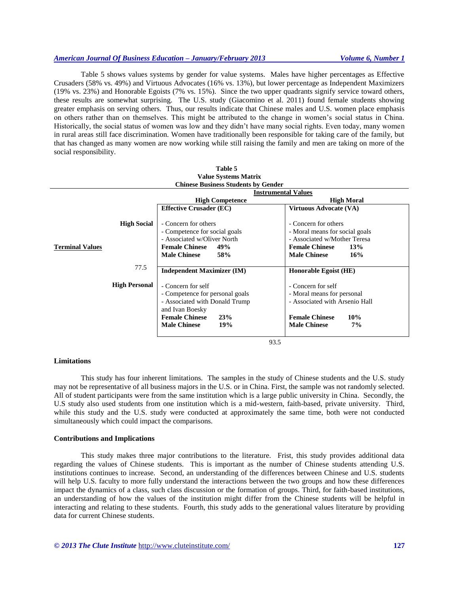## *American Journal Of Business Education – January/February 2013 Volume 6, Number 1*

Table 5 shows values systems by gender for value systems. Males have higher percentages as Effective Crusaders (58% vs. 49%) and Virtuous Advocates (16% vs. 13%), but lower percentage as Independent Maximizers (19% vs. 23%) and Honorable Egoists (7% vs. 15%). Since the two upper quadrants signify service toward others, these results are somewhat surprising. The U.S. study (Giacomino et al. 2011) found female students showing greater emphasis on serving others. Thus, our results indicate that Chinese males and U.S. women place emphasis on others rather than on themselves. This might be attributed to the change in women's social status in China. Historically, the social status of women was low and they didn't have many social rights. Even today, many women in rural areas still face discrimination. Women have traditionally been responsible for taking care of the family, but that has changed as many women are now working while still raising the family and men are taking on more of the social responsibility.

| <b>Value Systems Matrix</b> |                                 |                                            |                                |  |
|-----------------------------|---------------------------------|--------------------------------------------|--------------------------------|--|
|                             |                                 | <b>Chinese Business Students by Gender</b> |                                |  |
|                             |                                 | <b>Instrumental Values</b>                 |                                |  |
|                             |                                 | <b>High Competence</b>                     | <b>High Moral</b>              |  |
|                             |                                 | <b>Effective Crusader (EC)</b>             | <b>Virtuous Advocate (VA)</b>  |  |
|                             |                                 |                                            |                                |  |
|                             | <b>High Social</b>              | - Concern for others                       | - Concern for others           |  |
|                             |                                 | - Competence for social goals              | - Moral means for social goals |  |
|                             |                                 | - Associated w/Oliver North                | - Associated w/Mother Teresa   |  |
| <b>Terminal Values</b>      |                                 | <b>Female Chinese</b><br>49%               | <b>Female Chinese</b><br>13%   |  |
|                             |                                 | <b>Male Chinese</b><br>58%                 | <b>Male Chinese</b><br>16%     |  |
|                             | 77.5                            |                                            |                                |  |
|                             |                                 | <b>Independent Maximizer (IM)</b>          | Honorable Egoist (HE)          |  |
|                             |                                 |                                            |                                |  |
| <b>High Personal</b>        |                                 | - Concern for self                         | - Concern for self             |  |
|                             | - Competence for personal goals |                                            | - Moral means for personal     |  |
|                             |                                 | - Associated with Donald Trump             | - Associated with Arsenio Hall |  |
|                             |                                 | and Ivan Boesky                            |                                |  |
|                             |                                 | <b>Female Chinese</b><br>23%               | <b>Female Chinese</b><br>10%   |  |
|                             |                                 | <b>Male Chinese</b><br>19%                 | <b>Male Chinese</b><br>7%      |  |
|                             |                                 |                                            |                                |  |

| Table 5                        |
|--------------------------------|
| <b>Value Systems Matrix</b>    |
| ingeg Rueingeg Studonte hy Con |

93.5

#### **Limitations**

This study has four inherent limitations. The samples in the study of Chinese students and the U.S. study may not be representative of all business majors in the U.S. or in China. First, the sample was not randomly selected. All of student participants were from the same institution which is a large public university in China. Secondly, the U.S study also used students from one institution which is a mid-western, faith-based, private university. Third, while this study and the U.S. study were conducted at approximately the same time, both were not conducted simultaneously which could impact the comparisons.

#### **Contributions and Implications**

This study makes three major contributions to the literature. Frist, this study provides additional data regarding the values of Chinese students. This is important as the number of Chinese students attending U.S. institutions continues to increase. Second, an understanding of the differences between Chinese and U.S. students will help U.S. faculty to more fully understand the interactions between the two groups and how these differences impact the dynamics of a class, such class discussion or the formation of groups. Third, for faith-based institutions, an understanding of how the values of the institution might differ from the Chinese students will be helpful in interacting and relating to these students. Fourth, this study adds to the generational values literature by providing data for current Chinese students.